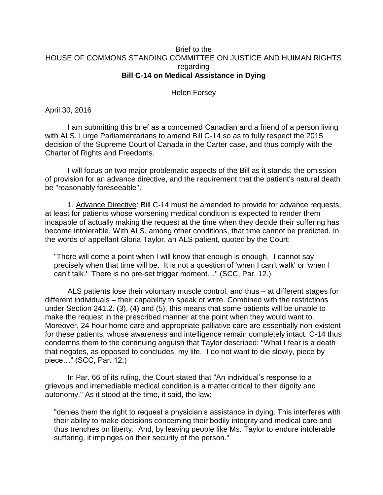## Brief to the HOUSE OF COMMONS STANDING COMMITTEE ON JUSTICE AND HUIMAN RIGHTS regarding **Bill C-14 on Medical Assistance in Dying**

Helen Forsey

April 30, 2016

I am submitting this brief as a concerned Canadian and a friend of a person living with ALS. I urge Parliamentarians to amend Bill C-14 so as to fully respect the 2015 decision of the Supreme Court of Canada in the Carter case, and thus comply with the Charter of Rights and Freedoms.

I will focus on two major problematic aspects of the Bill as it stands: the omission of provision for an advance directive, and the requirement that the patient's natural death be "reasonably foreseeable".

1. Advance Directive: Bill C-14 must be amended to provide for advance requests, at least for patients whose worsening medical condition is expected to render them incapable of actually making the request at the time when they decide their suffering has become intolerable. With ALS, among other conditions, that time cannot be predicted. In the words of appellant Gloria Taylor, an ALS patient, quoted by the Court:

"There will come a point when I will know that enough is enough. I cannot say precisely when that time will be. It is not a question of 'when I can't walk' or 'when I can't talk.' There is no pre-set trigger moment…" (SCC, Par. 12.)

ALS patients lose their voluntary muscle control, and thus – at different stages for different individuals – their capability to speak or write. Combined with the restrictions under Section 241.2. (3), (4) and (5), this means that some patients will be unable to make the request in the prescribed manner at the point when they would want to. Moreover, 24-hour home care and appropriate palliative care are essentially non-existent for these patients, whose awareness and intelligence remain completely intact. C-14 thus condemns them to the continuing anguish that Taylor described: "What I fear is a death that negates, as opposed to concludes, my life. I do not want to die slowly, piece by piece…" (SCC, Par. 12.)

In Par. 66 of its ruling, the Court stated that "An individual's response to a grievous and irremediable medical condition is a matter critical to their dignity and autonomy." As it stood at the time, it said, the law:

"denies them the right to request a physician's assistance in dying. This interferes with their ability to make decisions concerning their bodily integrity and medical care and thus trenches on liberty. And, by leaving people like Ms. Taylor to endure intolerable suffering, it impinges on their security of the person."